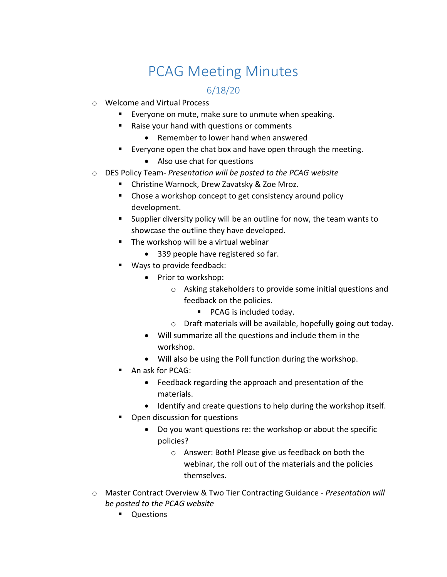## PCAG Meeting Minutes

## 6/18/20

- o Welcome and Virtual Process
	- Everyone on mute, make sure to unmute when speaking.
	- Raise your hand with questions or comments
		- Remember to lower hand when answered
	- Everyone open the chat box and have open through the meeting.
		- Also use chat for questions
- o DES Policy Team- *Presentation will be posted to the PCAG website*
	- Christine Warnock, Drew Zavatsky & Zoe Mroz.
	- Chose a workshop concept to get consistency around policy development.
	- Supplier diversity policy will be an outline for now, the team wants to showcase the outline they have developed.
	- The workshop will be a virtual webinar
		- 339 people have registered so far.
	- Ways to provide feedback:
		- Prior to workshop:
			- o Asking stakeholders to provide some initial questions and feedback on the policies.
				- PCAG is included today.
			- o Draft materials will be available, hopefully going out today.
		- Will summarize all the questions and include them in the workshop.
		- Will also be using the Poll function during the workshop.
	- An ask for PCAG:
		- Feedback regarding the approach and presentation of the materials.
		- Identify and create questions to help during the workshop itself.
	- **•** Open discussion for questions
		- Do you want questions re: the workshop or about the specific policies?
			- o Answer: Both! Please give us feedback on both the webinar, the roll out of the materials and the policies themselves.
- o Master Contract Overview & Two Tier Contracting Guidance *Presentation will be posted to the PCAG website*
	- **Ouestions**